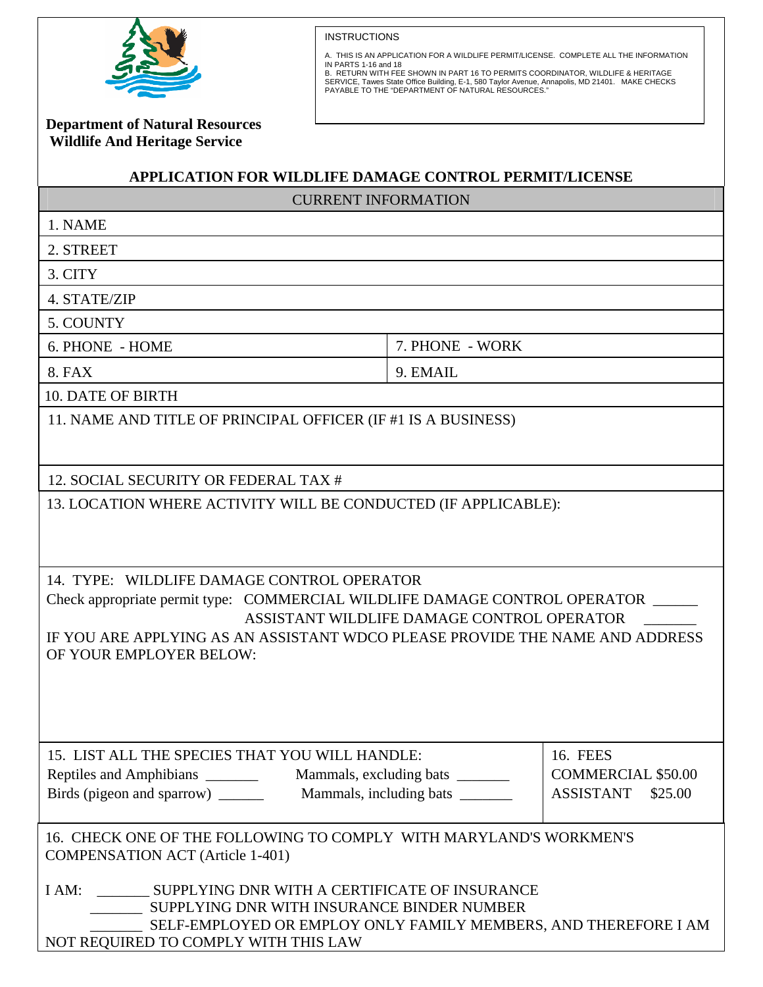

INSTRUCTIONS

A. THIS IS AN APPLICATION FOR A WILDLIFE PERMIT/LICENSE. COMPLETE ALL THE INFORMATION<br>IN PARTS 1-16 and 18<br>B. RETURN WITH FEE SHOWN IN PART 16 TO PERMITS COORDINATOR, WILDLIFE & HERITAGE<br>SERVICE, Tawes State Office Buildi

 **Department of Natural Resources Wildlife And Heritage Service** 

## **APPLICATION FOR WILDLIFE DAMAGE CONTROL PERMIT/LICENSE**

| <b>CURRENT INFORMATION</b>                                                                                                                                                                                                                                                        |                 |                                                                      |
|-----------------------------------------------------------------------------------------------------------------------------------------------------------------------------------------------------------------------------------------------------------------------------------|-----------------|----------------------------------------------------------------------|
| 1. NAME                                                                                                                                                                                                                                                                           |                 |                                                                      |
| 2. STREET                                                                                                                                                                                                                                                                         |                 |                                                                      |
| 3. CITY                                                                                                                                                                                                                                                                           |                 |                                                                      |
| 4. STATE/ZIP                                                                                                                                                                                                                                                                      |                 |                                                                      |
| 5. COUNTY                                                                                                                                                                                                                                                                         |                 |                                                                      |
| 6. PHONE - HOME                                                                                                                                                                                                                                                                   | 7. PHONE - WORK |                                                                      |
| 8. FAX                                                                                                                                                                                                                                                                            | 9. EMAIL        |                                                                      |
| <b>10. DATE OF BIRTH</b>                                                                                                                                                                                                                                                          |                 |                                                                      |
| 11. NAME AND TITLE OF PRINCIPAL OFFICER (IF #1 IS A BUSINESS)                                                                                                                                                                                                                     |                 |                                                                      |
| 12. SOCIAL SECURITY OR FEDERAL TAX #                                                                                                                                                                                                                                              |                 |                                                                      |
| 13. LOCATION WHERE ACTIVITY WILL BE CONDUCTED (IF APPLICABLE):                                                                                                                                                                                                                    |                 |                                                                      |
|                                                                                                                                                                                                                                                                                   |                 |                                                                      |
| 14. TYPE: WILDLIFE DAMAGE CONTROL OPERATOR<br>Check appropriate permit type: COMMERCIAL WILDLIFE DAMAGE CONTROL OPERATOR<br>ASSISTANT WILDLIFE DAMAGE CONTROL OPERATOR<br>IF YOU ARE APPLYING AS AN ASSISTANT WDCO PLEASE PROVIDE THE NAME AND ADDRESS<br>OF YOUR EMPLOYER BELOW: |                 |                                                                      |
| 15. LIST ALL THE SPECIES THAT YOU WILL HANDLE:                                                                                                                                                                                                                                    |                 | <b>16. FEES</b><br><b>COMMERCIAL \$50.00</b><br>ASSISTANT<br>\$25.00 |
| 16. CHECK ONE OF THE FOLLOWING TO COMPLY WITH MARYLAND'S WORKMEN'S<br><b>COMPENSATION ACT</b> (Article 1-401)                                                                                                                                                                     |                 |                                                                      |
| I AM: SUPPLYING DNR WITH A CERTIFICATE OF INSURANCE<br>SUPPLYING DNR WITH INSURANCE BINDER NUMBER<br>SELF-EMPLOYED OR EMPLOY ONLY FAMILY MEMBERS, AND THEREFORE I AM<br>NOT REQUIRED TO COMPLY WITH THIS LAW                                                                      |                 |                                                                      |